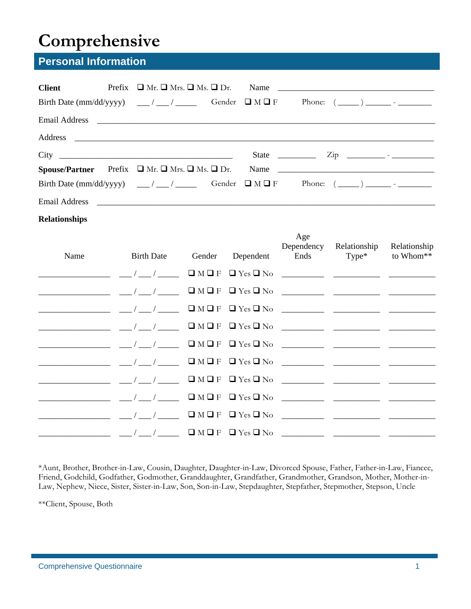# **Comprehensive**

# **Personal Information**

| <b>Client</b> | Prefix $\Box$ Mr. $\Box$ Mrs. $\Box$ Ms. $\Box$ Dr.<br>Email Address 2008 2009 2010 2020 2020 2020 2021 2021 2022 2021 2022 2021 2022 2022 2022 2022 2022 2022 2022 20                                             |                                                                                                                                                                                                                                                                                                                                                                                                       |
|---------------|--------------------------------------------------------------------------------------------------------------------------------------------------------------------------------------------------------------------|-------------------------------------------------------------------------------------------------------------------------------------------------------------------------------------------------------------------------------------------------------------------------------------------------------------------------------------------------------------------------------------------------------|
|               |                                                                                                                                                                                                                    | State $\frac{\ }{\ }$ $\frac{\ }{\ }$ $\frac{\ }{\ }$ $\frac{\ }{\ }$ $\frac{\ }{\ }$ $\frac{\ }{\ }$ $\frac{\ }{\ }$ $\frac{\ }{\ }$ $\frac{\ }{\ }$ $\frac{\ }{\ }$ $\frac{\ }{\ }$ $\frac{\ }{\ }$ $\frac{\ }{\ }$ $\frac{\ }{\ }$ $\frac{\ }{\ }$ $\frac{\ }{\ }$ $\frac{\ }{\ }$ $\frac{\ }{\ }$ $\frac{\ }{\ }$ $\frac{\ }{\ }$ $\frac{\ }{\ }$ $\frac{\ }{\ }$ $\frac{\ }{\ }$ $\frac{\ }{\ }$ |
|               | <b>Spouse/Partner</b> Prefix $\Box$ Mr. $\Box$ Mrs. $\Box$ Ms. $\Box$ Dr.<br>Email Address <b>Communication</b> and Address <b>Communication</b> and Address <b>Communication</b> and Address <b>Communication</b> |                                                                                                                                                                                                                                                                                                                                                                                                       |

#### **Relationships**

| Name                                                                 |  | Age | Dependency Relationship<br>Birth Date Gender Dependent Ends Type* to Whom** | Relationship |
|----------------------------------------------------------------------|--|-----|-----------------------------------------------------------------------------|--------------|
|                                                                      |  |     |                                                                             |              |
| ________________ __/__/____ QMQF QYesQNo ________ ________ _________ |  |     |                                                                             |              |
|                                                                      |  |     |                                                                             |              |
|                                                                      |  |     |                                                                             |              |
|                                                                      |  |     |                                                                             |              |
|                                                                      |  |     |                                                                             |              |
|                                                                      |  |     |                                                                             |              |
|                                                                      |  |     |                                                                             |              |
|                                                                      |  |     |                                                                             |              |
|                                                                      |  |     |                                                                             |              |

\*Aunt, Brother, Brother-in-Law, Cousin, Daughter, Daughter-in-Law, Divorced Spouse, Father, Father-in-Law, Fiancee, Friend, Godchild, Godfather, Godmother, Granddaughter, Grandfather, Grandmother, Grandson, Mother, Mother-in-Law, Nephew, Niece, Sister, Sister-in-Law, Son, Son-in-Law, Stepdaughter, Stepfather, Stepmother, Stepson, Uncle

\*\*Client, Spouse, Both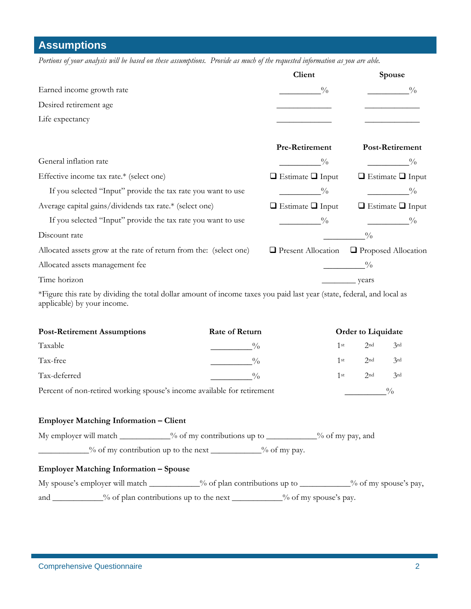**Assumptions** 

*Portions of your analysis will be based on these assumptions. Provide as much of the requested information as you are able.* 

|                                                                    | Client                       | Spouse                       |
|--------------------------------------------------------------------|------------------------------|------------------------------|
| Earned income growth rate                                          | $\frac{0}{0}$                | $\frac{0}{0}$                |
| Desired retirement age                                             |                              |                              |
| Life expectancy                                                    |                              |                              |
|                                                                    | Pre-Retirement               | Post-Retirement              |
| General inflation rate                                             | $\frac{0}{0}$                | $\frac{0}{0}$                |
| Effective income tax rate.* (select one)                           | $\Box$ Estimate $\Box$ Input | $\Box$ Estimate $\Box$ Input |
| If you selected "Input" provide the tax rate you want to use       | $\frac{0}{0}$                | $\frac{0}{0}$                |
| Average capital gains/dividends tax rate.* (select one)            | $\Box$ Estimate $\Box$ Input | $\Box$ Estimate $\Box$ Input |
| If you selected "Input" provide the tax rate you want to use       | $\frac{0}{0}$                | $\frac{0}{0}$                |
| Discount rate                                                      |                              | $\frac{0}{0}$                |
| Allocated assets grow at the rate of return from the: (select one) | <b>Present Allocation</b>    | <b>Proposed Allocation</b>   |
| Allocated assets management fee                                    |                              | $\frac{0}{0}$                |
| Time horizon                                                       |                              | years                        |

\*Figure this rate by dividing the total dollar amount of income taxes you paid last year (state, federal, and local as applicable) by your income.

| <b>Post-Retirement Assumptions</b>                                      | <b>Rate of Return</b> |      | <b>Order to Liquidate</b> |     |  |
|-------------------------------------------------------------------------|-----------------------|------|---------------------------|-----|--|
| Taxable                                                                 | $^{0}/_{0}$           | 1 st | 2nd                       | 3rd |  |
| Tax-free                                                                | $^{0}/_{0}$           | 1st  | 2 <sub>nd</sub>           | 3rd |  |
| Tax-deferred                                                            | $^{0}/_{0}$           | 1st  | 2 <sub>nd</sub>           | 3rd |  |
| Percent of non-retired working spouse's income available for retirement |                       |      |                           |     |  |

#### **Employer Matching Information – Client**

My employer will match \_\_\_\_\_\_\_\_\_\_\_% of my contributions up to \_\_\_\_\_\_\_\_\_\_% of my pay, and

\_\_\_\_\_\_\_\_\_\_\_\_% of my contribution up to the next \_\_\_\_\_\_\_\_\_\_\_\_% of my pay.

#### **Employer Matching Information – Spouse**

| My spouse's employer will match _ |                                        | $\frac{9}{6}$ of plan contributions up to |                                   | _% of my spouse's pay, |
|-----------------------------------|----------------------------------------|-------------------------------------------|-----------------------------------|------------------------|
| and                               | % of plan contributions up to the next |                                           | $\frac{9}{6}$ of my spouse's pay. |                        |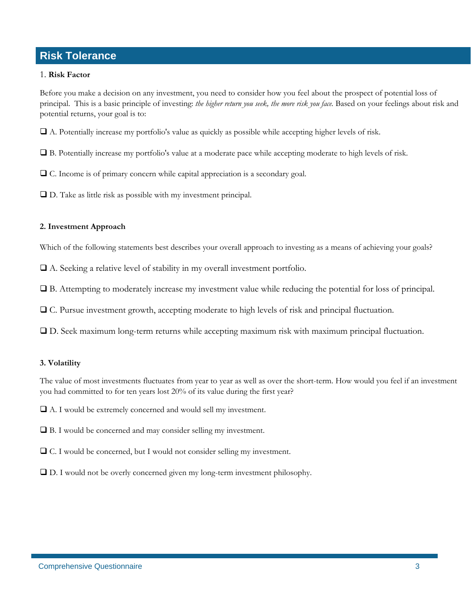## **Risk Tolerance**

#### 1. **Risk Factor**

Before you make a decision on any investment, you need to consider how you feel about the prospect of potential loss of principal. This is a basic principle of investing: *the higher return you seek, the more risk you face*. Based on your feelings about risk and potential returns, your goal is to:

A. Potentially increase my portfolio's value as quickly as possible while accepting higher levels of risk.

B. Potentially increase my portfolio's value at a moderate pace while accepting moderate to high levels of risk.

C. Income is of primary concern while capital appreciation is a secondary goal.

D. Take as little risk as possible with my investment principal.

#### **2. Investment Approach**

Which of the following statements best describes your overall approach to investing as a means of achieving your goals?

A. Seeking a relative level of stability in my overall investment portfolio.

B. Attempting to moderately increase my investment value while reducing the potential for loss of principal.

C. Pursue investment growth, accepting moderate to high levels of risk and principal fluctuation.

D. Seek maximum long-term returns while accepting maximum risk with maximum principal fluctuation.

#### **3. Volatility**

The value of most investments fluctuates from year to year as well as over the short-term. How would you feel if an investment you had committed to for ten years lost 20% of its value during the first year?

A. I would be extremely concerned and would sell my investment.

B. I would be concerned and may consider selling my investment.

C. I would be concerned, but I would not consider selling my investment.

D. I would not be overly concerned given my long-term investment philosophy.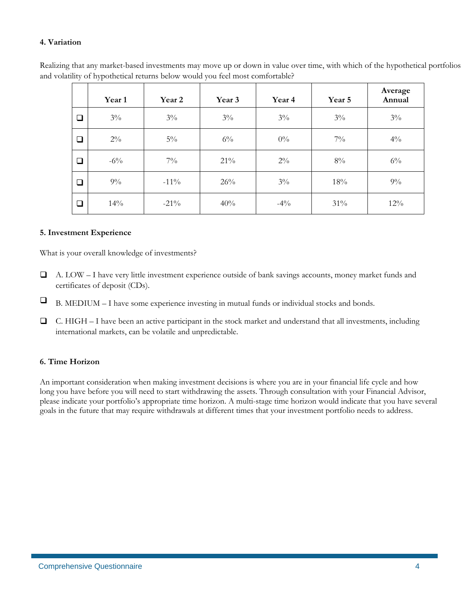#### **4. Variation**

Realizing that any market-based investments may move up or down in value over time, with which of the hypothetical portfolios and volatility of hypothetical returns below would you feel most comfortable?

|        | Year 1 | Year 2  | Year 3 | Year 4 | Year 5 | Average<br>Annual |
|--------|--------|---------|--------|--------|--------|-------------------|
| ❏      | $3\%$  | $3\%$   | $3\%$  | $3\%$  | $3\%$  | $3\%$             |
| □      | $2\%$  | $5\%$   | $6\%$  | $0\%$  | $7\%$  | $4\%$             |
| $\Box$ | $-6\%$ | $7\%$   | 21%    | $2\%$  | $8\%$  | $6\%$             |
| ❏      | $9\%$  | $-11\%$ | 26%    | $3\%$  | 18%    | $9\%$             |
| $\Box$ | 14%    | $-21\%$ | 40%    | $-4\%$ | 31%    | $12\%$            |

#### **5. Investment Experience**

What is your overall knowledge of investments?

- A. LOW I have very little investment experience outside of bank savings accounts, money market funds and certificates of deposit (CDs).
- $\Box$  B. MEDIUM I have some experience investing in mutual funds or individual stocks and bonds.
- C. HIGH I have been an active participant in the stock market and understand that all investments, including international markets, can be volatile and unpredictable.

#### **6. Time Horizon**

An important consideration when making investment decisions is where you are in your financial life cycle and how long you have before you will need to start withdrawing the assets. Through consultation with your Financial Advisor, please indicate your portfolio's appropriate time horizon. A multi-stage time horizon would indicate that you have several goals in the future that may require withdrawals at different times that your investment portfolio needs to address.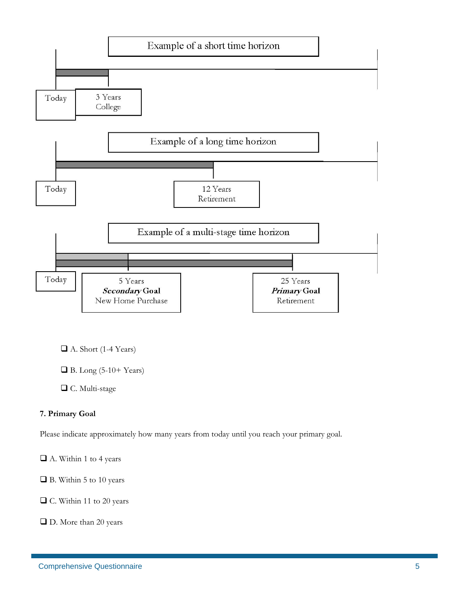

- A. Short (1-4 Years)
- $\Box$  B. Long (5-10+ Years)
- C. Multi-stage

#### **7. Primary Goal**

Please indicate approximately how many years from today until you reach your primary goal.

A. Within 1 to 4 years

■ B. Within 5 to 10 years

■ C. Within 11 to 20 years

■ D. More than 20 years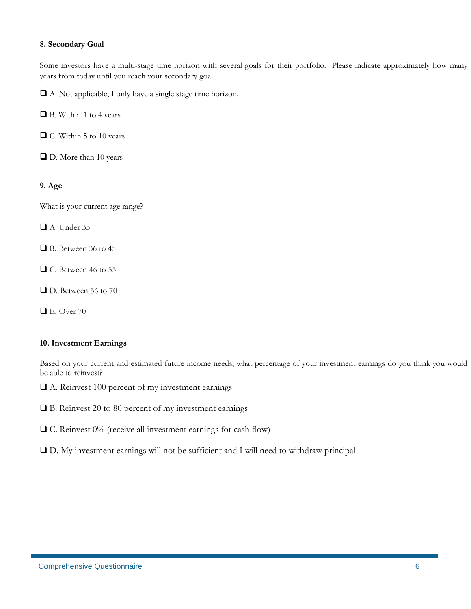#### **8. Secondary Goal**

Some investors have a multi-stage time horizon with several goals for their portfolio. Please indicate approximately how many years from today until you reach your secondary goal.

A. Not applicable, I only have a single stage time horizon.

■ B. Within 1 to 4 years

■ C. Within 5 to 10 years

■ D. More than 10 years

#### **9. Age**

What is your current age range?

A. Under 35

- B. Between 36 to 45
- C. Between 46 to 55
- D. Between 56 to 70
- $\Box$  E. Over 70

#### **10. Investment Earnings**

Based on your current and estimated future income needs, what percentage of your investment earnings do you think you would be able to reinvest?

- A. Reinvest 100 percent of my investment earnings
- $\Box$  B. Reinvest 20 to 80 percent of my investment earnings
- $\Box$  C. Reinvest 0% (receive all investment earnings for cash flow)
- D. My investment earnings will not be sufficient and I will need to withdraw principal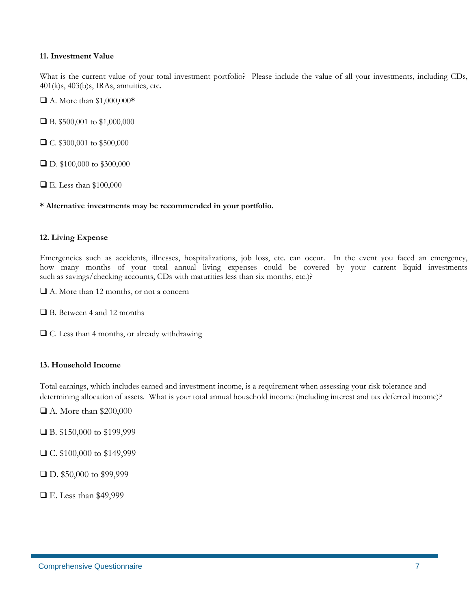#### **11. Investment Value**

What is the current value of your total investment portfolio? Please include the value of all your investments, including CDs, 401(k)s, 403(b)s, IRAs, annuities, etc.

A. More than \$1,000,000**\***

■ B. \$500,001 to \$1,000,000

□ C. \$300,001 to \$500,000

■ D. \$100,000 to \$300,000

E. Less than \$100,000

#### **\* Alternative investments may be recommended in your portfolio.**

#### **12. Living Expense**

Emergencies such as accidents, illnesses, hospitalizations, job loss, etc. can occur. In the event you faced an emergency, how many months of your total annual living expenses could be covered by your current liquid investments such as savings/checking accounts, CDs with maturities less than six months, etc.)?

A. More than 12 months, or not a concern

■ B. Between 4 and 12 months

C. Less than 4 months, or already withdrawing

#### **13. Household Income**

Total earnings, which includes earned and investment income, is a requirement when assessing your risk tolerance and determining allocation of assets. What is your total annual household income (including interest and tax deferred income)?

A. More than \$200,000

B. \$150,000 to \$199,999

C. \$100,000 to \$149,999

D. \$50,000 to \$99,999

E. Less than \$49,999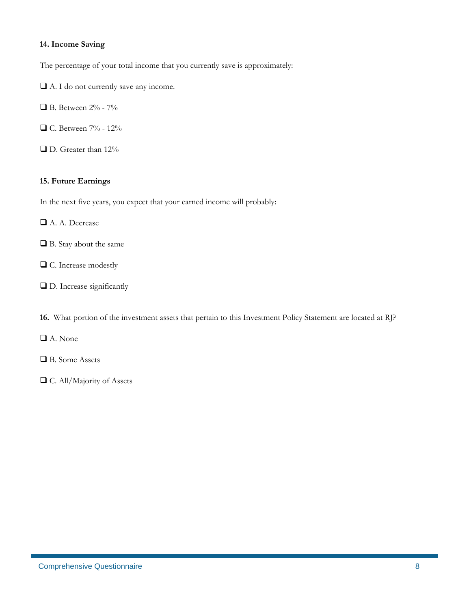#### **14. Income Saving**

The percentage of your total income that you currently save is approximately:

- $\Box$  A. I do not currently save any income.
- B. Between 2% 7%
- □ C. Between 7% 12%
- D. Greater than 12%

#### **15. Future Earnings**

In the next five years, you expect that your earned income will probably:

- A. A. Decrease
- B. Stay about the same
- C. Increase modestly
- $\square$  D. Increase significantly

**16.** What portion of the investment assets that pertain to this Investment Policy Statement are located at RJ?

- A. None
- B. Some Assets
- C. All/Majority of Assets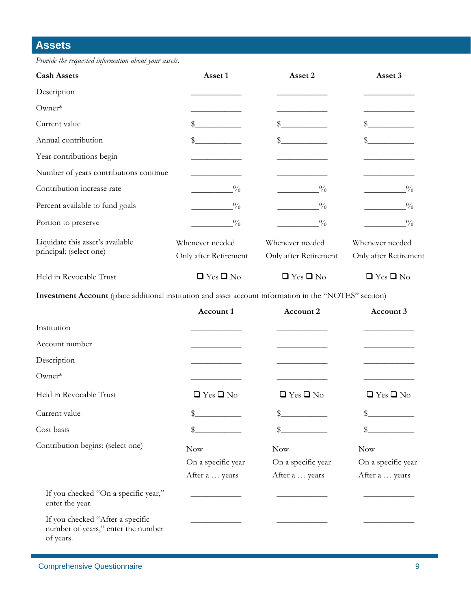## **Assets**

*Provide the requested information about your assets.* 

| <b>Cash Assets</b>                                          | Asset 1                                  | Asset 2                                  | Asset 3                                  |
|-------------------------------------------------------------|------------------------------------------|------------------------------------------|------------------------------------------|
| Description                                                 |                                          |                                          |                                          |
| $O$ wner $*$                                                |                                          |                                          |                                          |
| Current value                                               | \$                                       |                                          |                                          |
| Annual contribution                                         | \$                                       | \$                                       | \$                                       |
| Year contributions begin                                    |                                          |                                          |                                          |
| Number of years contributions continue                      |                                          |                                          |                                          |
| Contribution increase rate                                  | $\frac{0}{0}$                            | $\frac{0}{0}$                            | $\frac{0}{0}$                            |
| Percent available to fund goals                             | $\frac{0}{0}$                            | $\frac{0}{0}$                            | $\frac{0}{0}$                            |
| Portion to preserve                                         | $\frac{0}{0}$                            | $\frac{0}{0}$                            | $\frac{0}{0}$                            |
| Liquidate this asset's available<br>principal: (select one) | Whenever needed<br>Only after Retirement | Whenever needed<br>Only after Retirement | Whenever needed<br>Only after Retirement |
| Held in Revocable Trust                                     | $\Box$ Yes $\Box$ No                     | $\Box$ Yes $\Box$ No                     | $\Box$ Yes $\Box$ No                     |

**Investment Account** (place additional institution and asset account information in the "NOTES" section)

|                                                                                     | Account 1            | <b>Account 2</b>     | Account 3            |
|-------------------------------------------------------------------------------------|----------------------|----------------------|----------------------|
| Institution                                                                         |                      |                      |                      |
| Account number                                                                      |                      |                      |                      |
| Description                                                                         |                      |                      |                      |
| Owner*                                                                              |                      |                      |                      |
| Held in Revocable Trust                                                             | $\Box$ Yes $\Box$ No | $\Box$ Yes $\Box$ No | $\Box$ Yes $\Box$ No |
| Current value                                                                       | \$                   | \$                   | \$                   |
| Cost basis                                                                          |                      |                      | \$                   |
| Contribution begins: (select one)                                                   | Now                  | <b>Now</b>           | Now                  |
|                                                                                     | On a specific year   | On a specific year   | On a specific year   |
|                                                                                     | After a  years       | After a  years       | After a  years       |
| If you checked "On a specific year,"<br>enter the year.                             |                      |                      |                      |
| If you checked "After a specific<br>number of years," enter the number<br>of years. |                      |                      |                      |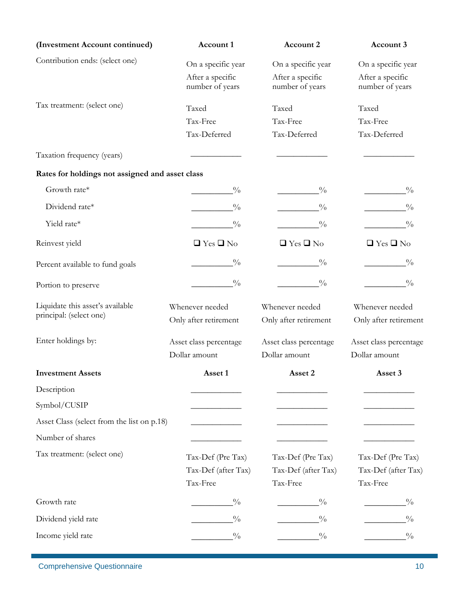| (Investment Account continued)                              | Account 1                                            | Account 2                                            | Account 3                                            |
|-------------------------------------------------------------|------------------------------------------------------|------------------------------------------------------|------------------------------------------------------|
| Contribution ends: (select one)                             | On a specific year                                   | On a specific year                                   | On a specific year                                   |
|                                                             | After a specific<br>number of years                  | After a specific<br>number of years                  | After a specific<br>number of years                  |
| Tax treatment: (select one)                                 | Taxed                                                | Taxed                                                | Taxed                                                |
|                                                             | Tax-Free                                             | Tax-Free                                             | Tax-Free                                             |
|                                                             | Tax-Deferred                                         | Tax-Deferred                                         | Tax-Deferred                                         |
| Taxation frequency (years)                                  |                                                      |                                                      |                                                      |
| Rates for holdings not assigned and asset class             |                                                      |                                                      |                                                      |
| Growth rate*                                                | $\frac{0}{0}$                                        | $\frac{0}{0}$                                        | $\frac{0}{0}$                                        |
| Dividend rate*                                              | $\frac{0}{0}$                                        | $\frac{0}{0}$                                        | $\frac{0}{0}$                                        |
| Yield rate*                                                 | $\frac{0}{0}$                                        | $\frac{0}{0}$                                        | $\frac{0}{0}$                                        |
| Reinvest yield                                              | $\Box$ Yes $\Box$ No                                 | $\Box$ Yes $\Box$ No                                 | $\Box$ Yes $\Box$ No                                 |
| Percent available to fund goals                             | $\frac{0}{0}$                                        | $\frac{0}{0}$                                        |                                                      |
| Portion to preserve                                         | $\frac{0}{0}$                                        | $\frac{0}{0}$                                        | $\frac{0}{0}$                                        |
| Liquidate this asset's available<br>principal: (select one) | Whenever needed<br>Only after retirement             | Whenever needed<br>Only after retirement             | Whenever needed<br>Only after retirement             |
| Enter holdings by:                                          | Asset class percentage<br>Dollar amount              | Asset class percentage<br>Dollar amount              | Asset class percentage<br>Dollar amount              |
| <b>Investment Assets</b>                                    | Asset 1                                              | Asset 2                                              | Asset 3                                              |
| Description                                                 |                                                      |                                                      |                                                      |
| Symbol/CUSIP                                                |                                                      |                                                      |                                                      |
| Asset Class (select from the list on p.18)                  |                                                      |                                                      |                                                      |
| Number of shares                                            |                                                      |                                                      |                                                      |
| Tax treatment: (select one)                                 | Tax-Def (Pre Tax)<br>Tax-Def (after Tax)<br>Tax-Free | Tax-Def (Pre Tax)<br>Tax-Def (after Tax)<br>Tax-Free | Tax-Def (Pre Tax)<br>Tax-Def (after Tax)<br>Tax-Free |
| Growth rate                                                 | $\frac{0}{0}$                                        | $\frac{0}{0}$                                        | $\frac{0}{0}$                                        |
| Dividend yield rate                                         | $\frac{0}{0}$                                        | $\frac{0}{0}$                                        | $\frac{0}{0}$                                        |
| Income yield rate                                           | $\frac{0}{0}$                                        | $\frac{0}{0}$                                        | $\frac{0}{0}$                                        |

 $\overline{1}$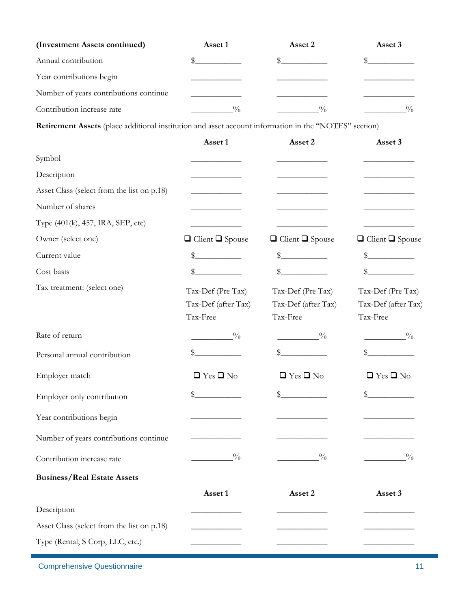| (Investment Assets continued)          | Asset 1 | Asset 2       | Asset 3       |
|----------------------------------------|---------|---------------|---------------|
| Annual contribution                    |         |               |               |
| Year contributions begin               |         |               |               |
| Number of years contributions continue |         |               |               |
| Contribution increase rate             | 0/      | $\frac{0}{0}$ | $\frac{0}{0}$ |

**Retirement Assets** (place additional institution and asset account information in the "NOTES" section)

|                                            | Asset 1                                              | Asset 2                                              | Asset 3                                              |
|--------------------------------------------|------------------------------------------------------|------------------------------------------------------|------------------------------------------------------|
| Symbol                                     |                                                      |                                                      |                                                      |
| Description                                |                                                      |                                                      |                                                      |
| Asset Class (select from the list on p.18) |                                                      |                                                      |                                                      |
| Number of shares                           |                                                      |                                                      |                                                      |
| Type (401(k), 457, IRA, SEP, etc)          |                                                      |                                                      |                                                      |
| Owner (select one)                         | $\Box$ Client $\Box$ Spouse                          | $\Box$ Client $\Box$ Spouse                          | $\Box$ Client $\Box$ Spouse                          |
| Current value                              | $\frac{1}{2}$                                        | $\frac{1}{2}$<br><u> a shekara t</u>                 |                                                      |
| Cost basis                                 | \$                                                   | \$                                                   | \$                                                   |
| Tax treatment: (select one)                | Tax-Def (Pre Tax)<br>Tax-Def (after Tax)<br>Tax-Free | Tax-Def (Pre Tax)<br>Tax-Def (after Tax)<br>Tax-Free | Tax-Def (Pre Tax)<br>Tax-Def (after Tax)<br>Tax-Free |
| Rate of return                             | $\frac{0}{0}$                                        | $\frac{0}{0}$                                        | $\sim 9/0$                                           |
| Personal annual contribution               | $\frac{1}{2}$                                        |                                                      | \$                                                   |
| Employer match                             | $\Box$ Yes $\Box$ No                                 | $\Box$ Yes $\Box$ No                                 | $\Box$ Yes $\Box$ No                                 |
| Employer only contribution                 | $\frac{1}{2}$                                        | $\mathbb{S}_-$                                       | $\frac{1}{2}$                                        |
| Year contributions begin                   |                                                      |                                                      |                                                      |
| Number of years contributions continue     |                                                      |                                                      |                                                      |
| Contribution increase rate                 | $^{0}_{-}$                                           | $\frac{0}{0}$                                        | $\frac{0}{0}$                                        |
| <b>Business/Real Estate Assets</b>         |                                                      |                                                      |                                                      |
|                                            | Asset 1                                              | Asset 2                                              | Asset 3                                              |
| Description                                |                                                      |                                                      |                                                      |
| Asset Class (select from the list on p.18) |                                                      |                                                      |                                                      |
| Type (Rental, S Corp, LLC, etc.)           |                                                      |                                                      |                                                      |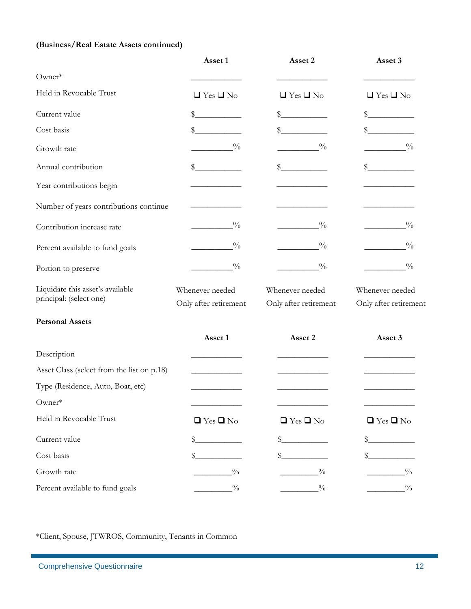### **(Business/Real Estate Assets continued)**

|                                            | Asset 1               | Asset 2               | Asset 3               |
|--------------------------------------------|-----------------------|-----------------------|-----------------------|
| Owner*                                     |                       |                       |                       |
| Held in Revocable Trust                    | $\Box$ Yes $\Box$ No  | $\Box$ Yes $\Box$ No  | $\Box$ Yes $\Box$ No  |
| Current value                              | \$                    | $\mathcal{S}_{-}$     | \$                    |
| Cost basis                                 | \$                    | $\frac{1}{2}$         |                       |
| Growth rate                                | $\frac{0}{0}$         | $\frac{0}{0}$         | $\frac{0}{0}$         |
| Annual contribution                        | \$_                   | $\frac{1}{2}$         | S.                    |
| Year contributions begin                   |                       |                       |                       |
| Number of years contributions continue     |                       |                       |                       |
| Contribution increase rate                 | $\frac{0}{0}$         | $\frac{0}{0}$         | $\frac{0}{0}$         |
| Percent available to fund goals            | $\frac{0}{0}$         | $\frac{0}{0}$         | $\frac{0}{0}$         |
| Portion to preserve                        | $\frac{0}{0}$         | $\frac{0}{0}$         | $\frac{0}{0}$         |
| Liquidate this asset's available           | Whenever needed       | Whenever needed       | Whenever needed       |
| principal: (select one)                    | Only after retirement | Only after retirement | Only after retirement |
| <b>Personal Assets</b>                     |                       |                       |                       |
|                                            | Asset 1               | Asset 2               | Asset 3               |
| Description                                |                       |                       |                       |
| Asset Class (select from the list on p.18) |                       |                       |                       |
| Type (Residence, Auto, Boat, etc)          |                       |                       |                       |
| Owner*                                     |                       |                       |                       |
| Held in Revocable Trust                    | $\Box$ Yes $\Box$ No  | $\Box$ Yes $\Box$ No  | $\Box$ Yes $\Box$ No  |
| Current value                              | \$.                   | \$.                   |                       |
| Cost basis                                 | \$                    | \$                    |                       |
| Growth rate                                | $\frac{0}{0}$         | $\frac{0}{0}$         | $\frac{0}{0}$         |
| Percent available to fund goals            | $\frac{0}{0}$         | $^{0}_{0}$            | $\frac{0}{0}$         |

\*Client, Spouse, JTWROS, Community, Tenants in Common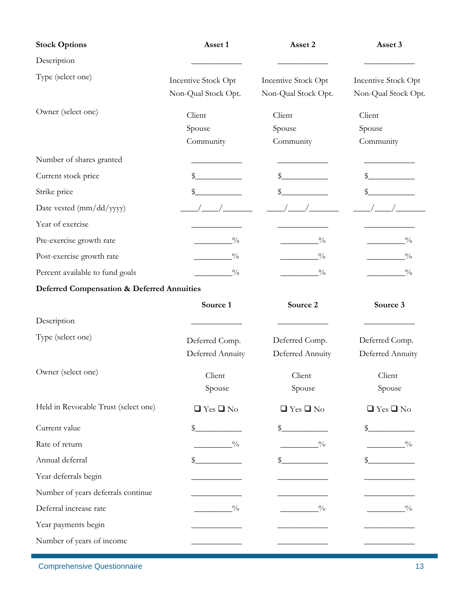| <b>Stock Options</b>                                  | Asset 1<br>Asset 2  |                     | Asset 3             |
|-------------------------------------------------------|---------------------|---------------------|---------------------|
| Description                                           |                     |                     |                     |
| Type (select one)                                     | Incentive Stock Opt | Incentive Stock Opt | Incentive Stock Opt |
|                                                       | Non-Qual Stock Opt. | Non-Qual Stock Opt. | Non-Qual Stock Opt. |
| Owner (select one)                                    | Client              | Client              | Client              |
|                                                       | Spouse              | Spouse              | Spouse              |
|                                                       | Community           | Community           | Community           |
| Number of shares granted                              |                     |                     |                     |
| Current stock price                                   | \$                  |                     |                     |
| Strike price                                          | \$                  | \$                  |                     |
| Date vested (mm/dd/yyyy)                              |                     |                     |                     |
| Year of exercise                                      |                     |                     |                     |
| Pre-exercise growth rate                              | $\frac{0}{0}$       | $\frac{0}{0}$       | $\frac{0}{0}$       |
| Post-exercise growth rate                             | $\frac{0}{0}$       | $\frac{0}{0}$       | $\frac{0}{0}$       |
| Percent available to fund goals                       | $\frac{0}{0}$       | $\frac{0}{0}$       | $\frac{0}{0}$       |
| <b>Deferred Compensation &amp; Deferred Annuities</b> |                     |                     |                     |
|                                                       | Source 1            | Source <sub>2</sub> | Source 3            |
| Description                                           |                     |                     |                     |
| Type (select one)                                     | Deferred Comp.      | Deferred Comp.      | Deferred Comp.      |
|                                                       | Deferred Annuity    | Deferred Annuity    | Deferred Annuity    |

Owner (select one) Client

|                                      | Spouse               | Spouse               | Spouse               |
|--------------------------------------|----------------------|----------------------|----------------------|
| Held in Revocable Trust (select one) | $\Box$ Yes $\Box$ No | $\Box$ Yes $\Box$ No | $\Box$ Yes $\Box$ No |
| Current value                        | \$                   |                      |                      |
| Rate of return                       | $\frac{0}{0}$        | $\frac{0}{0}$        | $\frac{0}{0}$        |
| Annual deferral                      |                      |                      |                      |
| Year deferrals begin                 |                      |                      |                      |
| Number of years deferrals continue   |                      |                      |                      |
| Deferral increase rate               | $\frac{0}{0}$        | $\frac{0}{0}$        | $^{0}/_{0}$          |
| Year payments begin                  |                      |                      |                      |
| Number of years of income            |                      |                      |                      |

Client

Comprehensive Questionnaire 13

Client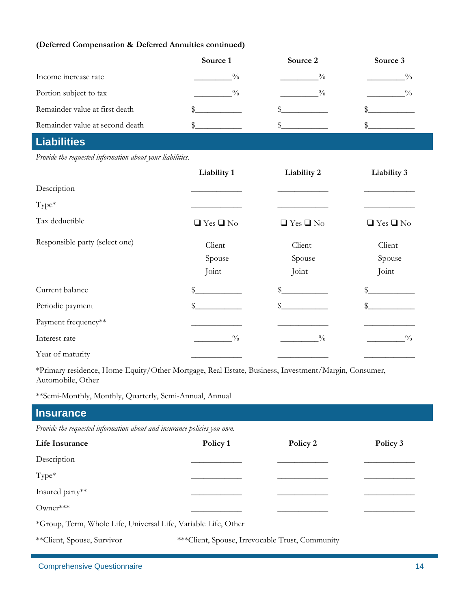#### **(Deferred Compensation & Deferred Annuities continued)**

|                                 | Source 1    | Source 2    | Source 3      |
|---------------------------------|-------------|-------------|---------------|
| Income increase rate            | 0/0         | 0/0         | $\frac{0}{0}$ |
| Portion subject to tax          | $^{0}/_{0}$ | $^{0}/_{0}$ | $^{0}/_{0}$   |
| Remainder value at first death  |             |             |               |
| Remainder value at second death |             |             |               |

# **Liabilities**

*Provide the requested information about your liabilities.* 

|                                | Liability 1          | Liability 2          | Liability 3          |
|--------------------------------|----------------------|----------------------|----------------------|
| Description                    |                      |                      |                      |
| Type*                          |                      |                      |                      |
| Tax deductible                 | $\Box$ Yes $\Box$ No | $\Box$ Yes $\Box$ No | $\Box$ Yes $\Box$ No |
| Responsible party (select one) | Client               | Client               | Client               |
|                                | Spouse               | Spouse               | Spouse               |
|                                | Joint                | Joint                | Joint                |
| Current balance                | \$                   | \$                   | \$                   |
| Periodic payment               | \$                   | \$                   | \$                   |
| Payment frequency**            |                      |                      |                      |
| Interest rate                  | $\frac{0}{0}$        | $\frac{0}{0}$        | $\frac{0}{0}$        |
| Year of maturity               |                      |                      |                      |

\*Primary residence, Home Equity/Other Mortgage, Real Estate, Business, Investment/Margin, Consumer, Automobile, Other

\*\*Semi-Monthly, Monthly, Quarterly, Semi-Annual, Annual

| <b>Insurance</b>                                                        |          |                                                 |          |
|-------------------------------------------------------------------------|----------|-------------------------------------------------|----------|
| Provide the requested information about and insurance policies you own. |          |                                                 |          |
| Life Insurance                                                          | Policy 1 | Policy 2                                        | Policy 3 |
| Description                                                             |          |                                                 |          |
| $Type*$                                                                 |          |                                                 |          |
| Insured party**                                                         |          |                                                 |          |
| Owner***                                                                |          |                                                 |          |
| *Group, Term, Whole Life, Universal Life, Variable Life, Other          |          |                                                 |          |
| **Client, Spouse, Survivor                                              |          | ***Client, Spouse, Irrevocable Trust, Community |          |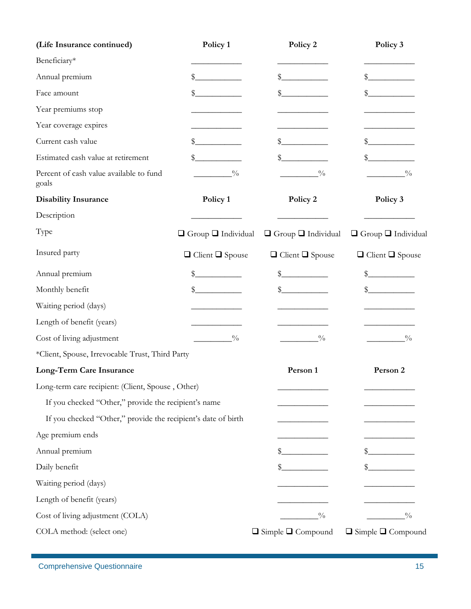| (Life Insurance continued)                                    | Policy 1                       | Policy 2                       | Policy 3                       |
|---------------------------------------------------------------|--------------------------------|--------------------------------|--------------------------------|
| Beneficiary*                                                  |                                |                                |                                |
| Annual premium                                                | $\frac{1}{2}$                  | \$                             | $\mathbb{S}^-$                 |
| Face amount                                                   | $\frac{1}{2}$                  | \$                             |                                |
| Year premiums stop                                            |                                |                                |                                |
| Year coverage expires                                         |                                |                                |                                |
| Current cash value                                            | \$_                            |                                | S.                             |
| Estimated cash value at retirement                            | \$                             |                                |                                |
| Percent of cash value available to fund<br>goals              | $\frac{0}{0}$                  | $\frac{0}{0}$                  | $\frac{0}{0}$                  |
| <b>Disability Insurance</b>                                   | Policy 1                       | Policy 2                       | Policy 3                       |
| Description                                                   |                                |                                |                                |
| Type                                                          | $\Box$ Group $\Box$ Individual | $\Box$ Group $\Box$ Individual | $\Box$ Group $\Box$ Individual |
| Insured party                                                 | $\Box$ Client $\Box$ Spouse    | $\Box$ Client $\Box$ Spouse    | $\Box$ Client $\Box$ Spouse    |
| Annual premium                                                | \$                             | \$                             |                                |
| Monthly benefit                                               | $\mathbb{S}_{-}$               | $\mathbb{S}$                   |                                |
| Waiting period (days)                                         |                                |                                |                                |
| Length of benefit (years)                                     |                                |                                |                                |
| Cost of living adjustment                                     | $\frac{0}{0}$                  | $^{0}_{0}$                     | $\frac{0}{0}$                  |
| *Client, Spouse, Irrevocable Trust, Third Party               |                                |                                |                                |
| Long-Term Care Insurance                                      |                                | Person 1                       | Person 2                       |
| Long-term care recipient: (Client, Spouse, Other)             |                                |                                |                                |
| If you checked "Other," provide the recipient's name          |                                |                                |                                |
| If you checked "Other," provide the recipient's date of birth |                                |                                |                                |
| Age premium ends                                              |                                |                                |                                |
| Annual premium                                                |                                | \$                             | S                              |
| Daily benefit                                                 |                                |                                |                                |
| Waiting period (days)                                         |                                |                                |                                |
| Length of benefit (years)                                     |                                |                                |                                |
| Cost of living adjustment (COLA)                              |                                | $^{0}_{-}$                     | $^{0}_{0}$                     |
| COLA method: (select one)                                     |                                | $\Box$ Simple $\Box$ Compound  | $\Box$ Simple $\Box$ Compound  |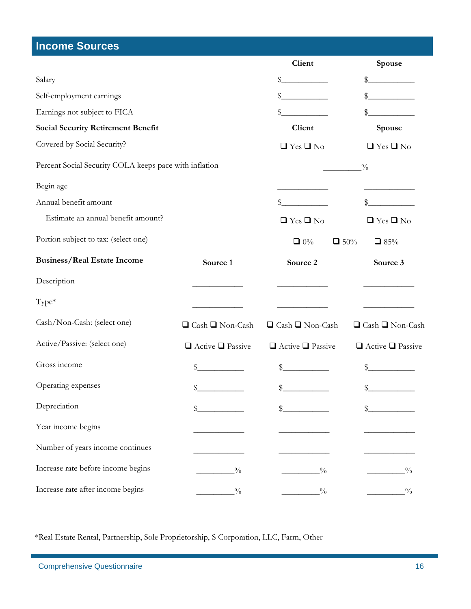# **Income Sources**

|                                                        |                              | Client                       | Spouse                       |
|--------------------------------------------------------|------------------------------|------------------------------|------------------------------|
| Salary                                                 |                              | \$                           | \$                           |
| Self-employment earnings                               |                              | \$                           |                              |
| Earnings not subject to FICA                           |                              | \$                           | \$                           |
| <b>Social Security Retirement Benefit</b>              |                              | Client                       | Spouse                       |
| Covered by Social Security?                            |                              | $\Box$ Yes $\Box$ No         | $\Box$ Yes $\Box$ No         |
| Percent Social Security COLA keeps pace with inflation |                              |                              | $\frac{0}{0}$                |
| Begin age                                              |                              |                              |                              |
| Annual benefit amount                                  |                              | \$                           |                              |
| Estimate an annual benefit amount?                     |                              | $\Box$ Yes $\Box$ No         | $\Box$ Yes $\Box$ No         |
| Portion subject to tax: (select one)                   |                              | $\Box 0\%$<br>$\Box$ 50%     | $\Box$ 85%                   |
| <b>Business/Real Estate Income</b>                     | Source 1                     | Source 2                     | Source 3                     |
| Description                                            |                              |                              |                              |
| Type*                                                  |                              |                              |                              |
| Cash/Non-Cash: (select one)                            | $\Box$ Cash $\Box$ Non-Cash  | $\Box$ Cash $\Box$ Non-Cash  | $\Box$ Cash $\Box$ Non-Cash  |
| Active/Passive: (select one)                           | $\Box$ Active $\Box$ Passive | $\Box$ Active $\Box$ Passive | $\Box$ Active $\Box$ Passive |
| Gross income                                           | \$                           | \$.                          | \$                           |
| Operating expenses                                     | \$                           | \$                           |                              |
| Depreciation                                           | \$                           | \$                           |                              |
| Year income begins                                     |                              |                              |                              |
| Number of years income continues                       |                              |                              |                              |
| Increase rate before income begins                     | $\frac{0}{0}$                | $\frac{0}{0}$                | $\frac{0}{0}$                |
| Increase rate after income begins                      | $\frac{0}{0}$                | $\frac{0}{0}$                | $\frac{0}{0}$                |

\*Real Estate Rental, Partnership, Sole Proprietorship, S Corporation, LLC, Farm, Other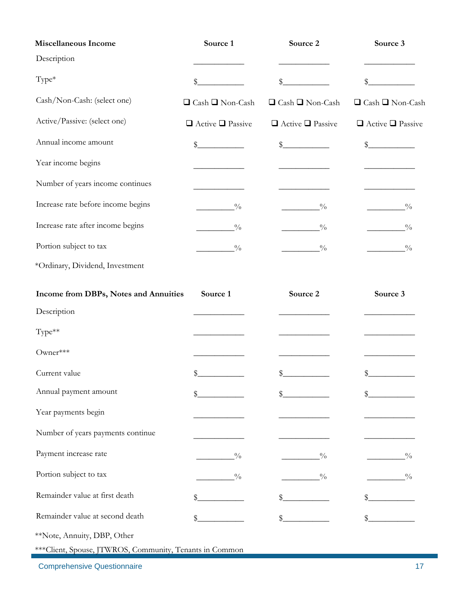| Miscellaneous Income               | Source 1                     | Source 2                     | Source 3                     |  |
|------------------------------------|------------------------------|------------------------------|------------------------------|--|
| Description                        |                              |                              |                              |  |
| Type*                              | \$                           | \$                           |                              |  |
| Cash/Non-Cash: (select one)        | $\Box$ Cash $\Box$ Non-Cash  | $\Box$ Cash $\Box$ Non-Cash  | $\Box$ Cash $\Box$ Non-Cash  |  |
| Active/Passive: (select one)       | $\Box$ Active $\Box$ Passive | $\Box$ Active $\Box$ Passive | $\Box$ Active $\Box$ Passive |  |
| Annual income amount               | \$                           | $\frac{1}{2}$                | $\frac{1}{2}$                |  |
| Year income begins                 |                              |                              |                              |  |
| Number of years income continues   |                              |                              |                              |  |
| Increase rate before income begins | $\frac{0}{0}$                | $\frac{0}{0}$                | $\frac{0}{0}$                |  |
| Increase rate after income begins  | $\frac{0}{0}$                | $\frac{0}{0}$                | $\frac{0}{0}$                |  |
| Portion subject to tax             | $\frac{0}{0}$                | $\frac{0}{0}$                | $\frac{0}{0}$                |  |
| *Ordinary, Dividend, Investment    |                              |                              |                              |  |

| Income from DBPs, Notes and Annuities | Source 1      | Source 2      | Source 3      |
|---------------------------------------|---------------|---------------|---------------|
| Description                           |               |               |               |
| Type**                                |               |               |               |
| Owner***                              |               |               |               |
| Current value                         | \$            | \$            |               |
| Annual payment amount                 |               |               |               |
| Year payments begin                   |               |               |               |
| Number of years payments continue     |               |               |               |
| Payment increase rate                 | $\frac{0}{0}$ | $\frac{0}{0}$ | $\frac{0}{0}$ |
| Portion subject to tax                | $\frac{0}{0}$ | $\frac{0}{0}$ | $\frac{0}{0}$ |
| Remainder value at first death        |               |               |               |
| Remainder value at second death       |               |               |               |

\*\*Note, Annuity, DBP, Other

\*\*\*Client, Spouse, JTWROS, Community, Tenants in Common

Comprehensive Questionnaire 17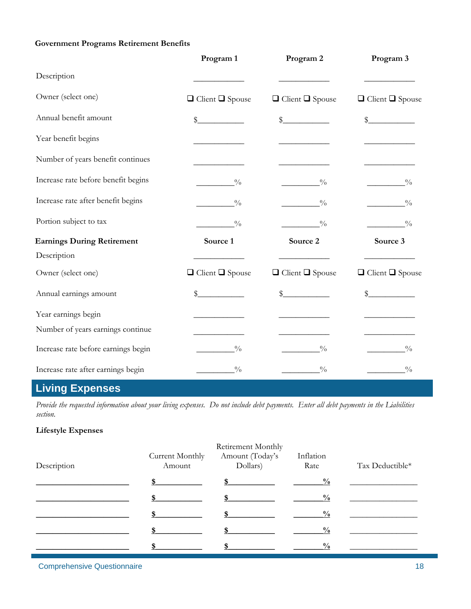### **Government Programs Retirement Benefits**

|                                     | Program 1                   | Program 2                   | Program 3                                             |
|-------------------------------------|-----------------------------|-----------------------------|-------------------------------------------------------|
| Description                         |                             |                             |                                                       |
| Owner (select one)                  | $\Box$ Client $\Box$ Spouse | $\Box$ Client $\Box$ Spouse | $\hfill\Box$<br><br>Client $\hfill\Box$<br><br>Spouse |
| Annual benefit amount               | $\sim$                      | $\sim$                      | $\sim$                                                |
| Year benefit begins                 |                             |                             |                                                       |
| Number of years benefit continues   |                             |                             |                                                       |
| Increase rate before benefit begins | $\frac{0}{0}$               | $\frac{0}{0}$               | $\frac{0}{0}$                                         |
| Increase rate after benefit begins  | $\frac{0}{0}$               | $^{0}/_{0}$                 | $\frac{0}{0}$                                         |
| Portion subject to tax              | $\frac{0}{0}$               | $\frac{0}{0}$               | $\sim 0/2$                                            |
| <b>Earnings During Retirement</b>   | Source 1                    | Source 2                    | Source 3                                              |
| Description                         |                             |                             |                                                       |
| Owner (select one)                  | $\Box$ Client $\Box$ Spouse | $\Box$ Client $\Box$ Spouse | $\Box$ Client $\Box$ Spouse                           |
| Annual earnings amount              | $\sim$                      | $\sim$                      | $\mathbb{S}$                                          |
| Year earnings begin                 |                             |                             |                                                       |
| Number of years earnings continue   |                             |                             |                                                       |
| Increase rate before earnings begin | $\frac{0}{0}$               | $\frac{0}{0}$               | $\frac{0}{0}$                                         |
| Increase rate after earnings begin  | $\frac{0}{0}$               | $\frac{0}{0}$               | $\frac{0}{0}$                                         |

# **Living Expenses**

*Provide the requested information about your living expenses. Do not include debt payments. Enter all debt payments in the Liabilities section.* 

#### **Lifestyle Expenses**

| Description | Current Monthly<br>Amount | Retirement Monthly<br>Amount (Today's<br>Dollars) | Inflation<br>Rate | Tax Deductible* |
|-------------|---------------------------|---------------------------------------------------|-------------------|-----------------|
|             |                           |                                                   | $\frac{0}{0}$     |                 |
|             |                           |                                                   | $\frac{0}{0}$     |                 |
|             |                           |                                                   | $\frac{0}{0}$     |                 |
|             |                           |                                                   | $\frac{0}{0}$     |                 |
|             |                           |                                                   | $\frac{0}{0}$     |                 |

Comprehensive Questionnaire 18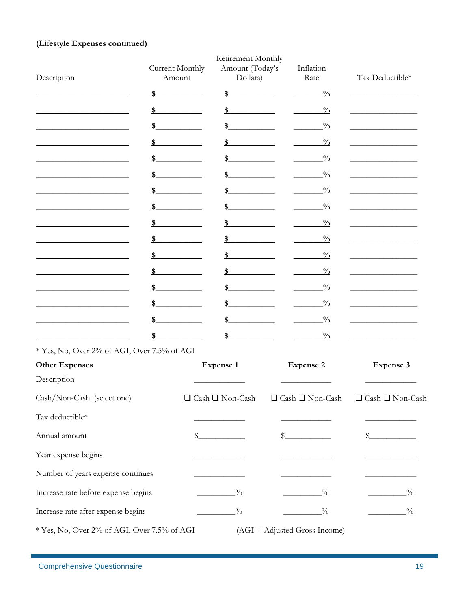### (Lifestyle Expenses continued)

| Description                                 | Current Monthly<br>Amount | Retirement Monthly<br>Amount (Today's<br>Dollars) | Inflation<br>Rate               | Tax Deductible*             |
|---------------------------------------------|---------------------------|---------------------------------------------------|---------------------------------|-----------------------------|
|                                             | \$                        | \$                                                | $\frac{0}{0}$                   |                             |
|                                             | \$                        | \$                                                | $\frac{0}{0}$                   |                             |
|                                             | S                         | \$                                                | $\frac{0}{0}$                   |                             |
|                                             | S                         | \$                                                | $\frac{0}{0}$                   |                             |
|                                             | \$                        | \$                                                | $\frac{0}{0}$                   |                             |
|                                             | \$                        | \$                                                | $\frac{0}{0}$                   |                             |
|                                             | \$                        | \$                                                | $\frac{0}{0}$                   |                             |
|                                             | \$                        | \$                                                | $\frac{0}{0}$                   |                             |
|                                             | \$                        | \$                                                | $\frac{0}{0}$                   |                             |
|                                             | \$                        | \$                                                | $\frac{0}{0}$                   |                             |
|                                             | \$                        | \$                                                | $\frac{0}{0}$                   |                             |
|                                             | \$                        | \$                                                | $\frac{0}{0}$                   |                             |
|                                             | \$                        | \$                                                | $\frac{0}{0}$                   |                             |
|                                             | \$                        | \$                                                | $\frac{0}{0}$                   |                             |
|                                             | \$                        | \$                                                | $\frac{0}{0}$                   |                             |
|                                             |                           | \$                                                | $\frac{0}{0}$                   |                             |
| * Yes, No, Over 2% of AGI, Over 7.5% of AGI |                           |                                                   |                                 |                             |
| <b>Other Expenses</b><br>Description        |                           | <b>Expense 1</b>                                  | <b>Expense 2</b>                | <b>Expense 3</b>            |
| Cash/Non-Cash: (select one)                 |                           | □ Cash □ Non-Cash                                 | $\Box$ Cash $\Box$ Non-Cash     | $\Box$ Cash $\Box$ Non-Cash |
| Tax deductible*                             |                           |                                                   |                                 |                             |
| Annual amount                               | \$                        |                                                   | $\frac{1}{2}$                   | $\frac{1}{2}$               |
| Year expense begins                         |                           |                                                   |                                 |                             |
| Number of years expense continues           |                           |                                                   |                                 |                             |
| Increase rate before expense begins         |                           | $\frac{0}{0}$                                     | $\frac{0}{2}$                   | $^{0}_{0}$                  |
| Increase rate after expense begins          |                           | $^{0}_{-}$                                        | $^{0}_{0}$                      | $^{0}_{0}$                  |
| * Yes, No, Over 2% of AGI, Over 7.5% of AGI |                           |                                                   | $(AGI = Adjuated Gross Income)$ |                             |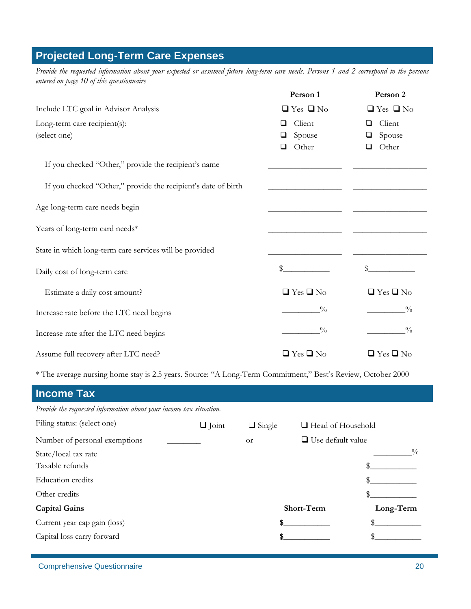# **Projected Long-Term Care Expenses**

*Provide the requested information about your expected or assumed future long-term care needs. Persons 1 and 2 correspond to the persons entered on page 10 of this questionnaire* 

|                                                               | Person 1             | Person 2             |
|---------------------------------------------------------------|----------------------|----------------------|
| Include LTC goal in Advisor Analysis                          | $\Box$ Yes $\Box$ No | $\Box$ Yes $\Box$ No |
| Long-term care recipient(s):                                  | Client<br>❏          | Client               |
| (select one)                                                  | Spouse<br>❏          | Spouse               |
|                                                               | Other<br>$\Box$      | Other                |
| If you checked "Other," provide the recipient's name          |                      |                      |
| If you checked "Other," provide the recipient's date of birth |                      |                      |
| Age long-term care needs begin                                |                      |                      |
| Years of long-term card needs*                                |                      |                      |
| State in which long-term care services will be provided       |                      |                      |
| Daily cost of long-term care                                  | \$                   | \$                   |
| Estimate a daily cost amount?                                 | $\Box$ Yes $\Box$ No | $\Box$ Yes $\Box$ No |
| Increase rate before the LTC need begins                      | $\frac{0}{0}$        | $\frac{0}{0}$        |
| Increase rate after the LTC need begins                       | $\frac{0}{0}$        | $\frac{0}{0}$        |
| Assume full recovery after LTC need?                          | $\Box$ Yes $\Box$ No | $\Box$ Yes $\Box$ No |

\* The average nursing home stay is 2.5 years. Source: "A Long-Term Commitment," Best's Review, October 2000

| <b>Income Tax</b>                                                  |              |               |                          |               |
|--------------------------------------------------------------------|--------------|---------------|--------------------------|---------------|
| Provide the requested information about your income tax situation. |              |               |                          |               |
| Filing status: (select one)                                        | $\Box$ Joint | $\Box$ Single | $\Box$ Head of Household |               |
| Number of personal exemptions                                      |              | <b>or</b>     | $\Box$ Use default value |               |
| State/local tax rate                                               |              |               |                          | $\frac{0}{0}$ |
| Taxable refunds                                                    |              |               |                          |               |
| <b>Education</b> credits                                           |              |               |                          |               |
| Other credits                                                      |              |               |                          |               |
| <b>Capital Gains</b>                                               |              |               | Short-Term               | Long-Term     |
| Current year cap gain (loss)                                       |              |               |                          |               |
| Capital loss carry forward                                         |              |               |                          |               |
|                                                                    |              |               |                          |               |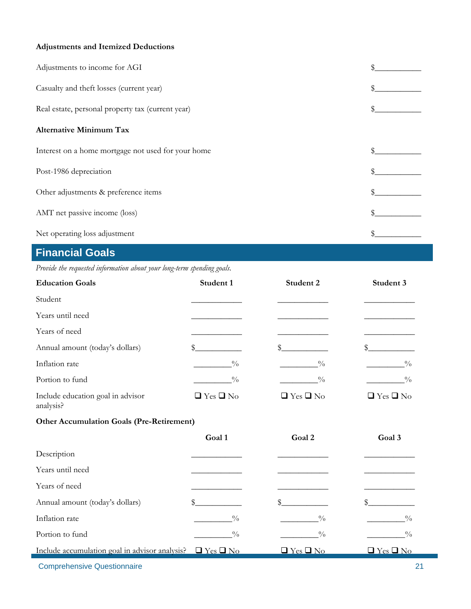### **Adjustments and Itemized Deductions**

| Adjustments to income for AGI                      |  |
|----------------------------------------------------|--|
| Casualty and theft losses (current year)           |  |
| Real estate, personal property tax (current year)  |  |
| <b>Alternative Minimum Tax</b>                     |  |
| Interest on a home mortgage not used for your home |  |
| Post-1986 depreciation                             |  |
| Other adjustments & preference items               |  |
| AMT net passive income (loss)                      |  |
| Net operating loss adjustment                      |  |

# **Financial Goals**

*Provide the requested information about your long-term spending goals.* 

| <b>Education Goals</b>                                              | Student 1            | Student 2            | Student 3            |
|---------------------------------------------------------------------|----------------------|----------------------|----------------------|
| Student                                                             |                      |                      |                      |
| Years until need                                                    |                      |                      |                      |
| Years of need                                                       |                      |                      |                      |
| Annual amount (today's dollars)                                     | \$                   | \$                   | \$                   |
| Inflation rate                                                      | $\frac{0}{0}$        | $\frac{0}{0}$        | $\frac{0}{0}$        |
| Portion to fund                                                     | $\frac{0}{0}$        | $\frac{0}{0}$        | $\frac{0}{0}$        |
| Include education goal in advisor<br>analysis?                      | $\Box$ Yes $\Box$ No | $\Box$ Yes $\Box$ No | $\Box$ Yes $\Box$ No |
| <b>Other Accumulation Goals (Pre-Retirement)</b>                    |                      |                      |                      |
|                                                                     | Goal 1               | Goal 2               | Goal 3               |
| Description                                                         |                      |                      |                      |
| Years until need                                                    |                      |                      |                      |
| Years of need                                                       |                      |                      |                      |
| Annual amount (today's dollars)                                     | \$                   |                      |                      |
| Inflation rate                                                      | $\frac{0}{0}$        | $\frac{0}{0}$        | $^{0}/_{0}$          |
| Portion to fund                                                     | $\frac{0}{0}$        | $\frac{0}{0}$        | $\frac{0}{0}$        |
| Include accumulation goal in advisor analysis? $\Box$ Yes $\Box$ No |                      | $\Box$ Yes $\Box$ No | $\Box$ Yes $\Box$ No |

Comprehensive Questionnaire 21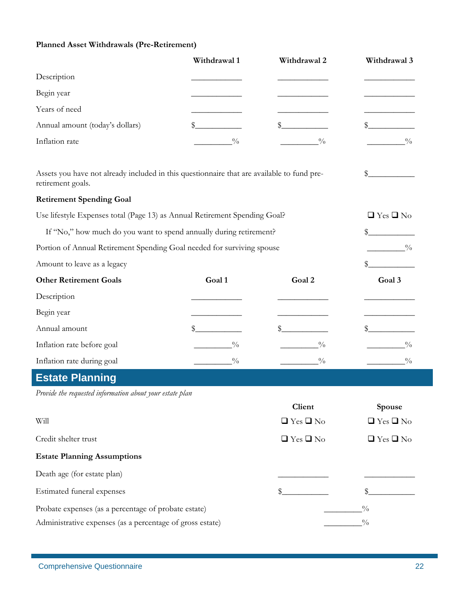### **Planned Asset Withdrawals (Pre-Retirement)**

|                                                                                                                 | Withdrawal 1  | Withdrawal 2         | Withdrawal 3         |
|-----------------------------------------------------------------------------------------------------------------|---------------|----------------------|----------------------|
| Description                                                                                                     |               |                      |                      |
| Begin year                                                                                                      |               |                      |                      |
| Years of need                                                                                                   |               |                      |                      |
| Annual amount (today's dollars)                                                                                 | \$.           |                      |                      |
| Inflation rate                                                                                                  | $\frac{0}{0}$ | $\frac{0}{0}$        | $\frac{0}{0}$        |
| Assets you have not already included in this questionnaire that are available to fund pre-<br>retirement goals. |               |                      | S                    |
| <b>Retirement Spending Goal</b>                                                                                 |               |                      |                      |
| Use lifestyle Expenses total (Page 13) as Annual Retirement Spending Goal?                                      |               |                      | $\Box$ Yes $\Box$ No |
| If "No," how much do you want to spend annually during retirement?                                              |               |                      | \$                   |
| Portion of Annual Retirement Spending Goal needed for surviving spouse                                          |               |                      | $\frac{0}{0}$        |
| Amount to leave as a legacy                                                                                     |               |                      |                      |
| <b>Other Retirement Goals</b>                                                                                   | Goal 1        | Goal 2               | Goal 3               |
| Description                                                                                                     |               |                      |                      |
| Begin year                                                                                                      |               |                      |                      |
| Annual amount                                                                                                   | S             |                      |                      |
| Inflation rate before goal                                                                                      | $\frac{0}{0}$ | $\frac{0}{0}$        | $\frac{0}{0}$        |
| Inflation rate during goal                                                                                      | $^{0}_{0}$    | $\frac{0}{0}$        | $\frac{0}{0}$        |
| <b>Estate Planning</b>                                                                                          |               |                      |                      |
| Provide the requested information about your estate plan                                                        |               |                      |                      |
|                                                                                                                 |               | Client               | Spouse               |
| Will                                                                                                            |               | $\Box$ Yes $\Box$ No | $\Box$ Yes $\Box$ No |
| Credit shelter trust                                                                                            |               | $\Box$ Yes $\Box$ No | $\Box$ Yes $\Box$ No |
| <b>Estate Planning Assumptions</b>                                                                              |               |                      |                      |
| Death age (for estate plan)                                                                                     |               |                      |                      |
| Estimated funeral expenses                                                                                      |               |                      |                      |
| Probate expenses (as a percentage of probate estate)                                                            |               |                      | $\frac{0}{0}$        |
| Administrative expenses (as a percentage of gross estate)                                                       |               |                      | $\frac{0}{0}$        |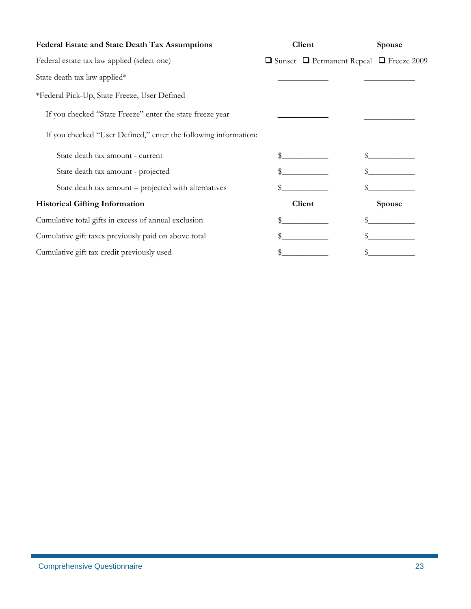| Federal Estate and State Death Tax Assumptions                  | Client                                                   | Spouse        |
|-----------------------------------------------------------------|----------------------------------------------------------|---------------|
| Federal estate tax law applied (select one)                     | $\Box$ Sunset $\Box$ Permanent Repeal $\Box$ Freeze 2009 |               |
| State death tax law applied*                                    |                                                          |               |
| *Federal Pick-Up, State Freeze, User Defined                    |                                                          |               |
| If you checked "State Freeze" enter the state freeze year       |                                                          |               |
| If you checked "User Defined," enter the following information: |                                                          |               |
| State death tax amount - current                                |                                                          |               |
| State death tax amount - projected                              |                                                          |               |
| State death tax amount – projected with alternatives            | \$                                                       |               |
| <b>Historical Gifting Information</b>                           | Client                                                   | <b>Spouse</b> |
| Cumulative total gifts in excess of annual exclusion            |                                                          |               |
| Cumulative gift taxes previously paid on above total            |                                                          |               |
| Cumulative gift tax credit previously used                      |                                                          |               |